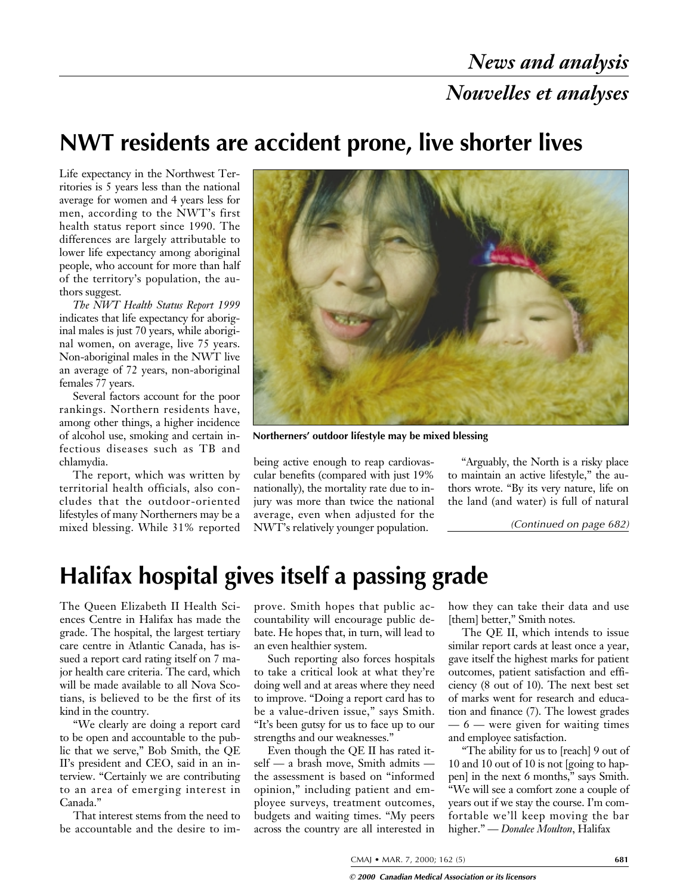### **NWT residents are accident prone, live shorter lives**

Life expectancy in the Northwest Territories is 5 years less than the national average for women and 4 years less for men, according to the NWT's first health status report since 1990. The differences are largely attributable to lower life expectancy among aboriginal people, who account for more than half of the territory's population, the authors suggest.

*The NWT Health Status Report 1999* indicates that life expectancy for aboriginal males is just 70 years, while aboriginal women, on average, live 75 years. Non-aboriginal males in the NWT live an average of 72 years, non-aboriginal females 77 years.

Several factors account for the poor rankings. Northern residents have, among other things, a higher incidence of alcohol use, smoking and certain infectious diseases such as TB and chlamydia.

The report, which was written by territorial health officials, also concludes that the outdoor-oriented lifestyles of many Northerners may be a mixed blessing. While 31% reported



**Northerners' outdoor lifestyle may be mixed blessing**

being active enough to reap cardiovascular benefits (compared with just 19% nationally), the mortality rate due to injury was more than twice the national average, even when adjusted for the NWT's relatively younger population.

"Arguably, the North is a risky place to maintain an active lifestyle," the authors wrote. "By its very nature, life on the land (and water) is full of natural

*(Continued on page 682)*

## **Halifax hospital gives itself a passing grade**

The Queen Elizabeth II Health Sciences Centre in Halifax has made the grade. The hospital, the largest tertiary care centre in Atlantic Canada, has issued a report card rating itself on 7 major health care criteria. The card, which will be made available to all Nova Scotians, is believed to be the first of its kind in the country.

"We clearly are doing a report card to be open and accountable to the public that we serve," Bob Smith, the QE II's president and CEO, said in an interview. "Certainly we are contributing to an area of emerging interest in Canada."

That interest stems from the need to be accountable and the desire to improve. Smith hopes that public accountability will encourage public debate. He hopes that, in turn, will lead to an even healthier system.

Such reporting also forces hospitals to take a critical look at what they're doing well and at areas where they need to improve. "Doing a report card has to be a value-driven issue," says Smith. "It's been gutsy for us to face up to our strengths and our weaknesses."

Even though the QE II has rated itself — a brash move, Smith admits the assessment is based on "informed opinion," including patient and employee surveys, treatment outcomes, budgets and waiting times. "My peers across the country are all interested in how they can take their data and use [them] better," Smith notes.

The QE II, which intends to issue similar report cards at least once a year, gave itself the highest marks for patient outcomes, patient satisfaction and efficiency (8 out of 10). The next best set of marks went for research and education and finance (7). The lowest grades  $-6$  — were given for waiting times and employee satisfaction.

"The ability for us to [reach] 9 out of 10 and 10 out of 10 is not [going to happen] in the next 6 months," says Smith. "We will see a comfort zone a couple of years out if we stay the course. I'm comfortable we'll keep moving the bar higher." — *Donalee Moulton*, Halifax